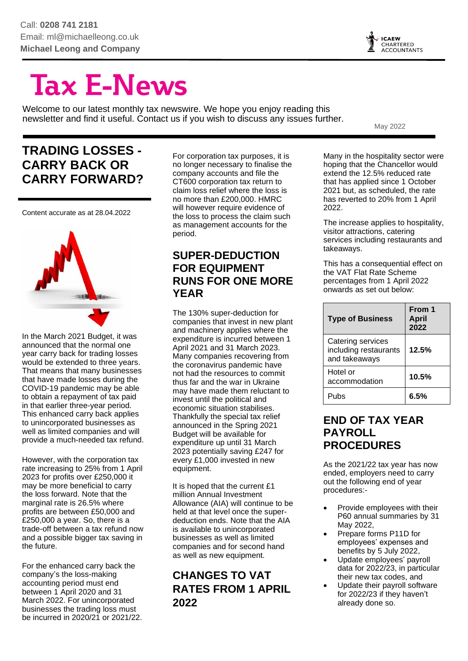

# **Tax E-News**

Welcome to our latest monthly tax newswire. We hope you enjoy reading this newsletter and find it useful. Contact us if you wish to discuss any issues further.

May 2022

# **TRADING LOSSES - CARRY BACK OR CARRY FORWARD?**

Content accurate as at 28.04.2022



In the March 2021 Budget, it was announced that the normal one year carry back for trading losses would be extended to three years. That means that many businesses that have made losses during the COVID-19 pandemic may be able to obtain a repayment of tax paid in that earlier three-year period. This enhanced carry back applies to unincorporated businesses as well as limited companies and will provide a much-needed tax refund.

However, with the corporation tax rate increasing to 25% from 1 April 2023 for profits over £250,000 it may be more beneficial to carry the loss forward. Note that the marginal rate is 26.5% where profits are between £50,000 and £250,000 a year. So, there is a trade-off between a tax refund now and a possible bigger tax saving in the future.

For the enhanced carry back the company's the loss-making accounting period must end between 1 April 2020 and 31 March 2022. For unincorporated businesses the trading loss must be incurred in 2020/21 or 2021/22. For corporation tax purposes, it is no longer necessary to finalise the company accounts and file the CT600 corporation tax return to claim loss relief where the loss is no more than £200,000. HMRC will however require evidence of the loss to process the claim such as management accounts for the period.

#### **SUPER-DEDUCTION FOR EQUIPMENT RUNS FOR ONE MORE YEAR**

The 130% super-deduction for companies that invest in new plant and machinery applies where the expenditure is incurred between 1 April 2021 and 31 March 2023. Many companies recovering from the coronavirus pandemic have not had the resources to commit thus far and the war in Ukraine may have made them reluctant to invest until the political and economic situation stabilises. Thankfully the special tax relief announced in the Spring 2021 Budget will be available for expenditure up until 31 March 2023 potentially saving £247 for every £1,000 invested in new equipment.

It is hoped that the current £1 million Annual Investment Allowance (AIA) will continue to be held at that level once the superdeduction ends. Note that the AIA is available to unincorporated businesses as well as limited companies and for second hand as well as new equipment.

# **CHANGES TO VAT RATES FROM 1 APRIL 2022**

Many in the hospitality sector were hoping that the Chancellor would extend the 12.5% reduced rate that has applied since 1 October 2021 but, as scheduled, the rate has reverted to 20% from 1 April 2022.

The increase applies to hospitality, visitor attractions, catering services including restaurants and takeaways.

This has a consequential effect on the VAT Flat Rate Scheme percentages from 1 April 2022 onwards as set out below:

| <b>Type of Business</b>                                     | From 1<br><b>April</b><br>2022 |
|-------------------------------------------------------------|--------------------------------|
| Catering services<br>including restaurants<br>and takeaways | 12.5%                          |
| Hotel or<br>accommodation                                   | 10.5%                          |
| Pubs                                                        | 6 5%                           |

#### **END OF TAX YEAR PAYROLL PROCEDURES**

As the 2021/22 tax year has now ended, employers need to carry out the following end of year procedures:-

- Provide employees with their P60 annual summaries by 31 May 2022,
- Prepare forms P11D for employees' expenses and benefits by 5 July 2022,
- Update employees' payroll data for 2022/23, in particular their new tax codes, and
- Update their payroll software for 2022/23 if they haven't already done so.